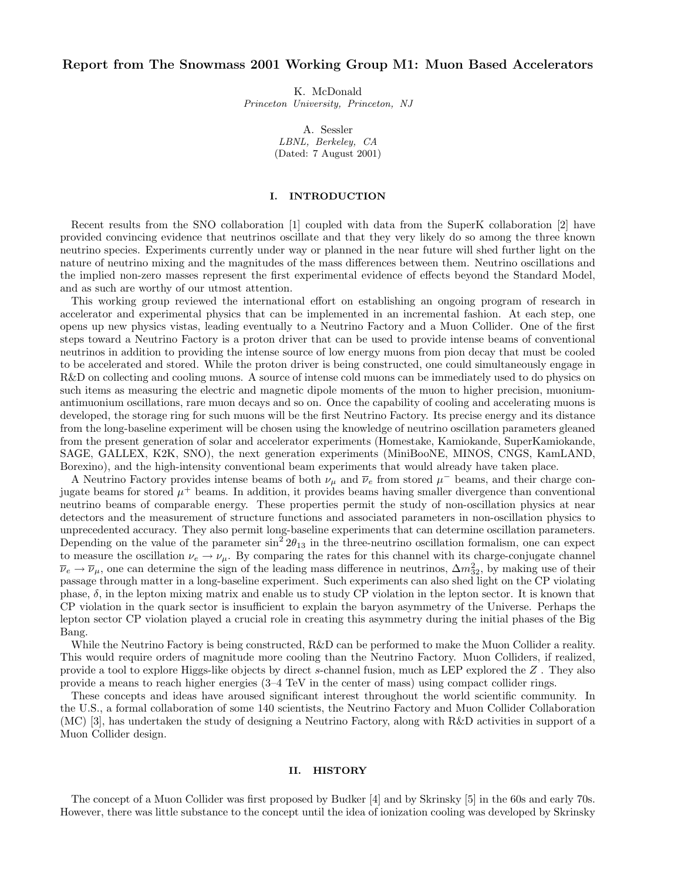# Report from The Snowmass 2001 Working Group M1: Muon Based Accelerators

K. McDonald Princeton University, Princeton, NJ

> A. Sessler LBNL, Berkeley, CA (Dated: 7 August 2001)

## I. INTRODUCTION

Recent results from the SNO collaboration [1] coupled with data from the SuperK collaboration [2] have provided convincing evidence that neutrinos oscillate and that they very likely do so among the three known neutrino species. Experiments currently under way or planned in the near future will shed further light on the nature of neutrino mixing and the magnitudes of the mass differences between them. Neutrino oscillations and the implied non-zero masses represent the first experimental evidence of effects beyond the Standard Model, and as such are worthy of our utmost attention.

This working group reviewed the international effort on establishing an ongoing program of research in accelerator and experimental physics that can be implemented in an incremental fashion. At each step, one opens up new physics vistas, leading eventually to a Neutrino Factory and a Muon Collider. One of the first steps toward a Neutrino Factory is a proton driver that can be used to provide intense beams of conventional neutrinos in addition to providing the intense source of low energy muons from pion decay that must be cooled to be accelerated and stored. While the proton driver is being constructed, one could simultaneously engage in R&D on collecting and cooling muons. A source of intense cold muons can be immediately used to do physics on such items as measuring the electric and magnetic dipole moments of the muon to higher precision, muoniumantimuonium oscillations, rare muon decays and so on. Once the capability of cooling and accelerating muons is developed, the storage ring for such muons will be the first Neutrino Factory. Its precise energy and its distance from the long-baseline experiment will be chosen using the knowledge of neutrino oscillation parameters gleaned from the present generation of solar and accelerator experiments (Homestake, Kamiokande, SuperKamiokande, SAGE, GALLEX, K2K, SNO), the next generation experiments (MiniBooNE, MINOS, CNGS, KamLAND, Borexino), and the high-intensity conventional beam experiments that would already have taken place.

A Neutrino Factory provides intense beams of both  $\nu_{\mu}$  and  $\overline{\nu}_{e}$  from stored  $\mu^{-}$  beams, and their charge conjugate beams for stored  $\mu^+$  beams. In addition, it provides beams having smaller divergence than conventional neutrino beams of comparable energy. These properties permit the study of non-oscillation physics at near detectors and the measurement of structure functions and associated parameters in non-oscillation physics to unprecedented accuracy. They also permit long-baseline experiments that can determine oscillation parameters. Depending on the value of the parameter  $\sin^2 2\theta_{13}$  in the three-neutrino oscillation formalism, one can expect to measure the oscillation  $\nu_e \to \nu_\mu$ . By comparing the rates for this channel with its charge-conjugate channel  $\overline{\nu}_e \to \overline{\nu}_\mu$ , one can determine the sign of the leading mass difference in neutrinos,  $\Delta m_{32}^2$ , by making use of their passage through matter in a long-baseline experiment. Such experiments can also shed light on the CP violating phase,  $\delta$ , in the lepton mixing matrix and enable us to study CP violation in the lepton sector. It is known that CP violation in the quark sector is insufficient to explain the baryon asymmetry of the Universe. Perhaps the lepton sector CP violation played a crucial role in creating this asymmetry during the initial phases of the Big Bang.

While the Neutrino Factory is being constructed,  $R\&D$  can be performed to make the Muon Collider a reality. This would require orders of magnitude more cooling than the Neutrino Factory. Muon Colliders, if realized, provide a tool to explore Higgs-like objects by direct s-channel fusion, much as LEP explored the Z . They also provide a means to reach higher energies (3–4 TeV in the center of mass) using compact collider rings.

These concepts and ideas have aroused significant interest throughout the world scientific community. In the U.S., a formal collaboration of some 140 scientists, the Neutrino Factory and Muon Collider Collaboration (MC) [3], has undertaken the study of designing a Neutrino Factory, along with R&D activities in support of a Muon Collider design.

#### II. HISTORY

The concept of a Muon Collider was first proposed by Budker [4] and by Skrinsky [5] in the 60s and early 70s. However, there was little substance to the concept until the idea of ionization cooling was developed by Skrinsky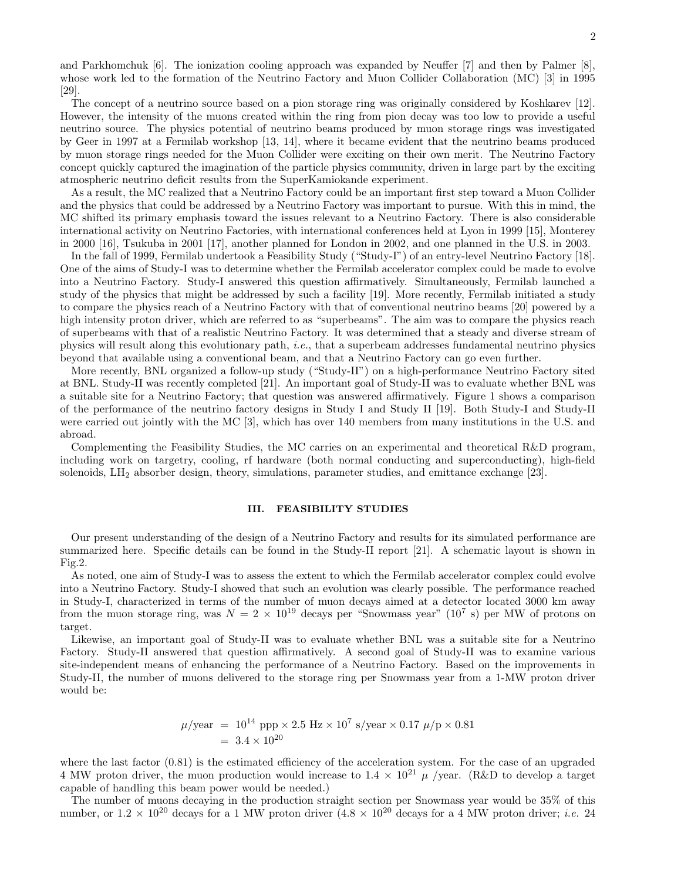and Parkhomchuk [6]. The ionization cooling approach was expanded by Neuffer [7] and then by Palmer [8], whose work led to the formation of the Neutrino Factory and Muon Collider Collaboration (MC) [3] in 1995 [29].

The concept of a neutrino source based on a pion storage ring was originally considered by Koshkarev [12]. However, the intensity of the muons created within the ring from pion decay was too low to provide a useful neutrino source. The physics potential of neutrino beams produced by muon storage rings was investigated by Geer in 1997 at a Fermilab workshop [13, 14], where it became evident that the neutrino beams produced by muon storage rings needed for the Muon Collider were exciting on their own merit. The Neutrino Factory concept quickly captured the imagination of the particle physics community, driven in large part by the exciting atmospheric neutrino deficit results from the SuperKamiokande experiment.

As a result, the MC realized that a Neutrino Factory could be an important first step toward a Muon Collider and the physics that could be addressed by a Neutrino Factory was important to pursue. With this in mind, the MC shifted its primary emphasis toward the issues relevant to a Neutrino Factory. There is also considerable international activity on Neutrino Factories, with international conferences held at Lyon in 1999 [15], Monterey in 2000 [16], Tsukuba in 2001 [17], another planned for London in 2002, and one planned in the U.S. in 2003.

In the fall of 1999, Fermilab undertook a Feasibility Study ("Study-I") of an entry-level Neutrino Factory [18]. One of the aims of Study-I was to determine whether the Fermilab accelerator complex could be made to evolve into a Neutrino Factory. Study-I answered this question affirmatively. Simultaneously, Fermilab launched a study of the physics that might be addressed by such a facility [19]. More recently, Fermilab initiated a study to compare the physics reach of a Neutrino Factory with that of conventional neutrino beams [20] powered by a high intensity proton driver, which are referred to as "superbeams". The aim was to compare the physics reach of superbeams with that of a realistic Neutrino Factory. It was determined that a steady and diverse stream of physics will result along this evolutionary path, i.e., that a superbeam addresses fundamental neutrino physics beyond that available using a conventional beam, and that a Neutrino Factory can go even further.

More recently, BNL organized a follow-up study ("Study-II") on a high-performance Neutrino Factory sited at BNL. Study-II was recently completed [21]. An important goal of Study-II was to evaluate whether BNL was a suitable site for a Neutrino Factory; that question was answered affirmatively. Figure 1 shows a comparison of the performance of the neutrino factory designs in Study I and Study II [19]. Both Study-I and Study-II were carried out jointly with the MC [3], which has over 140 members from many institutions in the U.S. and abroad.

Complementing the Feasibility Studies, the MC carries on an experimental and theoretical R&D program, including work on targetry, cooling, rf hardware (both normal conducting and superconducting), high-field solenoids, LH<sup>2</sup> absorber design, theory, simulations, parameter studies, and emittance exchange [23].

### III. FEASIBILITY STUDIES

Our present understanding of the design of a Neutrino Factory and results for its simulated performance are summarized here. Specific details can be found in the Study-II report [21]. A schematic layout is shown in Fig.2.

As noted, one aim of Study-I was to assess the extent to which the Fermilab accelerator complex could evolve into a Neutrino Factory. Study-I showed that such an evolution was clearly possible. The performance reached in Study-I, characterized in terms of the number of muon decays aimed at a detector located 3000 km away from the muon storage ring, was  $N = 2 \times 10^{19}$  decays per "Snowmass year" (10<sup>7</sup> s) per MW of protons on target.

Likewise, an important goal of Study-II was to evaluate whether BNL was a suitable site for a Neutrino Factory. Study-II answered that question affirmatively. A second goal of Study-II was to examine various site-independent means of enhancing the performance of a Neutrino Factory. Based on the improvements in Study-II, the number of muons delivered to the storage ring per Snowmass year from a 1-MW proton driver would be:

$$
\mu/\text{year} = 10^{14} \text{ ppp} \times 2.5 \text{ Hz} \times 10^7 \text{ s/year} \times 0.17 \mu/\text{p} \times 0.81
$$

$$
= 3.4 \times 10^{20}
$$

where the last factor  $(0.81)$  is the estimated efficiency of the acceleration system. For the case of an upgraded 4 MW proton driver, the muon production would increase to  $1.4 \times 10^{21}$   $\mu$  /year. (R&D to develop a target capable of handling this beam power would be needed.)

The number of muons decaying in the production straight section per Snowmass year would be 35% of this number, or  $1.2 \times 10^{20}$  decays for a 1 MW proton driver  $(4.8 \times 10^{20}$  decays for a 4 MW proton driver; *i.e.* 24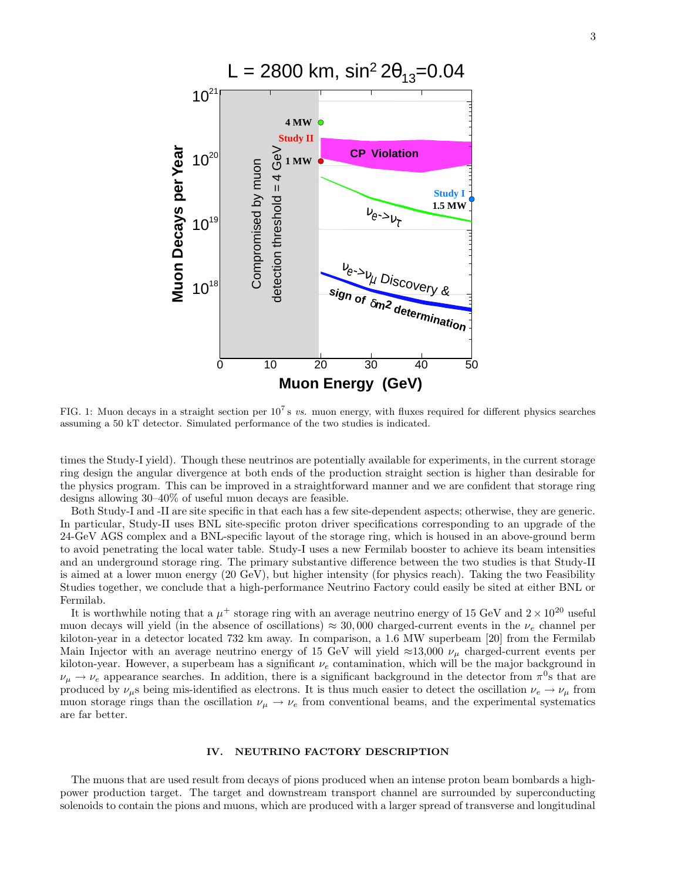

FIG. 1: Muon decays in a straight section per  $10^7$  s vs. muon energy, with fluxes required for different physics searches assuming a 50 kT detector. Simulated performance of the two studies is indicated.

times the Study-I yield). Though these neutrinos are potentially available for experiments, in the current storage ring design the angular divergence at both ends of the production straight section is higher than desirable for the physics program. This can be improved in a straightforward manner and we are confident that storage ring designs allowing 30–40% of useful muon decays are feasible.

Both Study-I and -II are site specific in that each has a few site-dependent aspects; otherwise, they are generic. In particular, Study-II uses BNL site-specific proton driver specifications corresponding to an upgrade of the 24-GeV AGS complex and a BNL-specific layout of the storage ring, which is housed in an above-ground berm to avoid penetrating the local water table. Study-I uses a new Fermilab booster to achieve its beam intensities and an underground storage ring. The primary substantive difference between the two studies is that Study-II is aimed at a lower muon energy (20 GeV), but higher intensity (for physics reach). Taking the two Feasibility Studies together, we conclude that a high-performance Neutrino Factory could easily be sited at either BNL or Fermilab.

It is worthwhile noting that a  $\mu^+$  storage ring with an average neutrino energy of 15 GeV and  $2 \times 10^{20}$  useful muon decays will yield (in the absence of oscillations)  $\approx 30,000$  charged-current events in the  $\nu_e$  channel per kiloton-year in a detector located 732 km away. In comparison, a 1.6 MW superbeam [20] from the Fermilab Main Injector with an average neutrino energy of 15 GeV will yield ≈13,000  $\nu_{\mu}$  charged-current events per kiloton-year. However, a superbeam has a significant  $\nu_e$  contamination, which will be the major background in  $\nu_\mu \to \nu_e$  appearance searches. In addition, there is a significant background in the detector from  $\pi^0$ s that are produced by  $\nu_\mu$ s being mis-identified as electrons. It is thus much easier to detect the oscillation  $\nu_e \to \nu_\mu$  from muon storage rings than the oscillation  $\nu_{\mu} \rightarrow \nu_{e}$  from conventional beams, and the experimental systematics are far better.

### IV. NEUTRINO FACTORY DESCRIPTION

The muons that are used result from decays of pions produced when an intense proton beam bombards a highpower production target. The target and downstream transport channel are surrounded by superconducting solenoids to contain the pions and muons, which are produced with a larger spread of transverse and longitudinal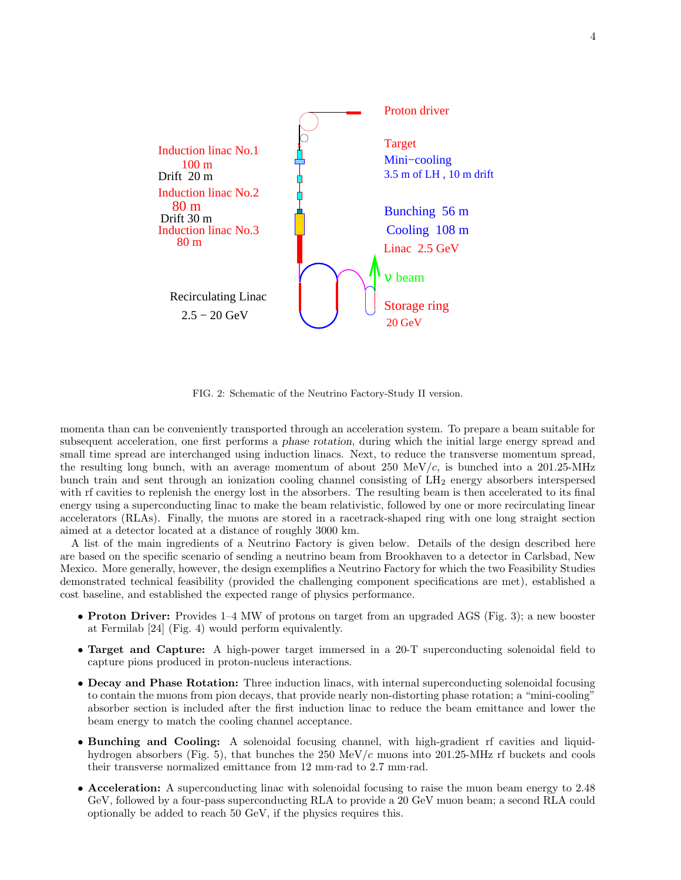![](_page_3_Figure_0.jpeg)

FIG. 2: Schematic of the Neutrino Factory-Study II version.

momenta than can be conveniently transported through an acceleration system. To prepare a beam suitable for subsequent acceleration, one first performs a phase rotation, during which the initial large energy spread and small time spread are interchanged using induction linacs. Next, to reduce the transverse momentum spread, the resulting long bunch, with an average momentum of about  $250 \text{ MeV}/c$ , is bunched into a  $201.25\text{-}MHz$ bunch train and sent through an ionization cooling channel consisting of LH<sup>2</sup> energy absorbers interspersed with rf cavities to replenish the energy lost in the absorbers. The resulting beam is then accelerated to its final energy using a superconducting linac to make the beam relativistic, followed by one or more recirculating linear accelerators (RLAs). Finally, the muons are stored in a racetrack-shaped ring with one long straight section aimed at a detector located at a distance of roughly 3000 km.

A list of the main ingredients of a Neutrino Factory is given below. Details of the design described here are based on the specific scenario of sending a neutrino beam from Brookhaven to a detector in Carlsbad, New Mexico. More generally, however, the design exemplifies a Neutrino Factory for which the two Feasibility Studies demonstrated technical feasibility (provided the challenging component specifications are met), established a cost baseline, and established the expected range of physics performance.

- Proton Driver: Provides 1–4 MW of protons on target from an upgraded AGS (Fig. 3); a new booster at Fermilab [24] (Fig. 4) would perform equivalently.
- Target and Capture: A high-power target immersed in a 20-T superconducting solenoidal field to capture pions produced in proton-nucleus interactions.
- Decay and Phase Rotation: Three induction linacs, with internal superconducting solenoidal focusing to contain the muons from pion decays, that provide nearly non-distorting phase rotation; a "mini-cooling" absorber section is included after the first induction linac to reduce the beam emittance and lower the beam energy to match the cooling channel acceptance.
- Bunching and Cooling: A solenoidal focusing channel, with high-gradient rf cavities and liquidhydrogen absorbers (Fig. 5), that bunches the 250 MeV/c muons into 201.25-MHz rf buckets and cools their transverse normalized emittance from 12 mm·rad to 2.7 mm·rad.
- Acceleration: A superconducting linac with solenoidal focusing to raise the muon beam energy to 2.48 GeV, followed by a four-pass superconducting RLA to provide a 20 GeV muon beam; a second RLA could optionally be added to reach 50 GeV, if the physics requires this.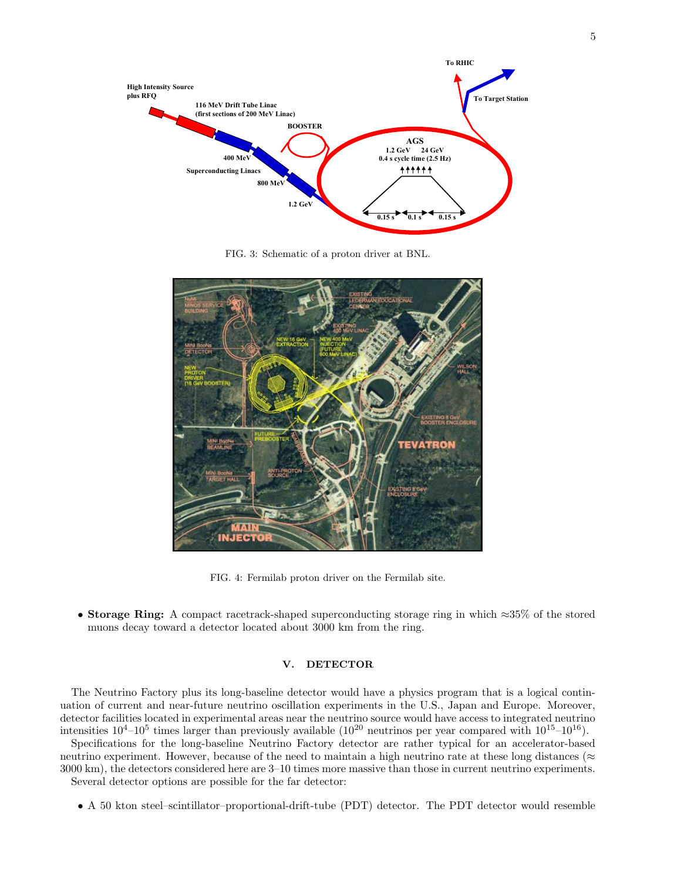![](_page_4_Figure_0.jpeg)

FIG. 3: Schematic of a proton driver at BNL.

![](_page_4_Picture_2.jpeg)

FIG. 4: Fermilab proton driver on the Fermilab site.

• Storage Ring: A compact racetrack-shaped superconducting storage ring in which ≈35% of the stored muons decay toward a detector located about 3000 km from the ring.

## V. DETECTOR

The Neutrino Tactory phas tas long stateme accessor woma have a physics program that is a region continuation of current and near-future neutrino oscillation experiments in the U.S., Japan and Europe. Moreover, The Neutrino Factory plus its long-baseline detector would have a physics program that is a logical contindetector facilities located in experimental areas near the neutrino source would have access to integrated neutrino intensities  $10^4$ – $10^5$  times larger than previously available  $(10^{20}$  neutrinos per year compared with  $10^{15}$ – $10^{16}$ ).

Specifications for the long-baseline Neutrino Factory detector are rather typical for an accelerator-based neutrino experiment. However, because of the need to maintain a high neutrino rate at these long distances ( $\approx$ 3000 km), the detectors considered here are 3–10 times more massive than those in current neutrino experiments.

Several detector options are possible for the far detector:

• A 50 kton steel–scintillator–proportional-drift-tube (PDT) detector. The PDT detector would resemble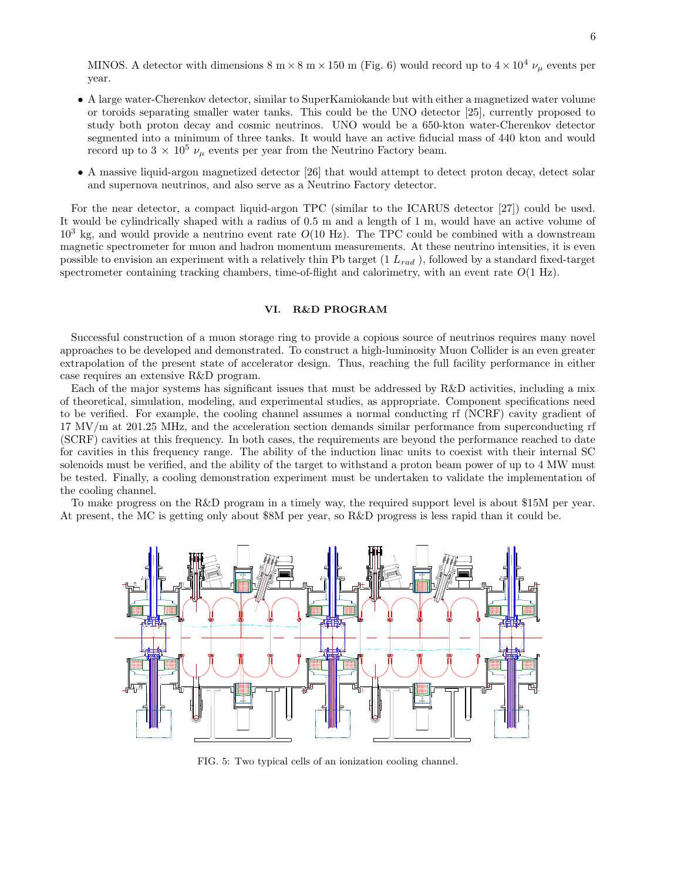MINOS. A detector with dimensions 8 m  $\times$  8 m  $\times$  150 m (Fig. 6) would record up to  $4 \times 10^4$   $\nu_{\mu}$  events per year.

- A large water-Cherenkov detector, similar to SuperKamiokande but with either a magnetized water volume or toroids separating smaller water tanks. This could be the UNO detector [25], currently proposed to study both proton decay and cosmic neutrinos. UNO would be a 650-kton water-Cherenkov detector segmented into a minimum of three tanks. It would have an active fiducial mass of 440 kton and would record up to 3  $\times$   $10^5$   $\nu_{\mu}$  events per year from the Neutrino Factory beam.
- A massive liquid-argon magnetized detector [26] that would attempt to detect proton decay, detect solar and supernova neutrinos, and also serve as a Neutrino Factory detector.

For the near detector, a compact liquid-argon TPC (similar to the ICARUS detector [27]) could be used. It would be cylindrically shaped with a radius of 0.5 m and a length of 1 m, would have an active volume of  $10<sup>3</sup>$  kg, and would provide a neutrino event rate  $O(10 \text{ Hz})$ . The TPC could be combined with a downstream magnetic spectrometer for muon and hadron momentum measurements. At these neutrino intensities, it is even possible to envision an experiment with a relatively thin Pb target  $(1 L_{rad})$ , followed by a standard fixed-target spectrometer containing tracking chambers, time-of-flight and calorimetry, with an event rate  $O(1 \text{ Hz})$ .

## VI. R&D PROGRAM

Successful construction of a muon storage ring to provide a copious source of neutrinos requires many novel approaches to be developed and demonstrated. To construct a high-luminosity Muon Collider is an even greater extrapolation of the present state of accelerator design. Thus, reaching the full facility performance in either case requires an extensive R&D program.

Each of the major systems has significant issues that must be addressed by R&D activities, including a mix of theoretical, simulation, modeling, and experimental studies, as appropriate. Component specifications need to be verified. For example, the cooling channel assumes a normal conducting rf (NCRF) cavity gradient of 17 MV/m at 201.25 MHz, and the acceleration section demands similar performance from superconducting rf (SCRF) cavities at this frequency. In both cases, the requirements are beyond the performance reached to date for cavities in this frequency range. The ability of the induction linac units to coexist with their internal SC solenoids must be verified, and the ability of the target to withstand a proton beam power of up to 4 MW must be tested. Finally, a cooling demonstration experiment must be undertaken to validate the implementation of the cooling channel.

To make progress on the R&D program in a timely way, the required support level is about \$15M per year. At present, the MC is getting only about \$8M per year, so R&D progress is less rapid than it could be.

![](_page_5_Figure_8.jpeg)

FIG. 5: Two typical cells of an ionization cooling channel.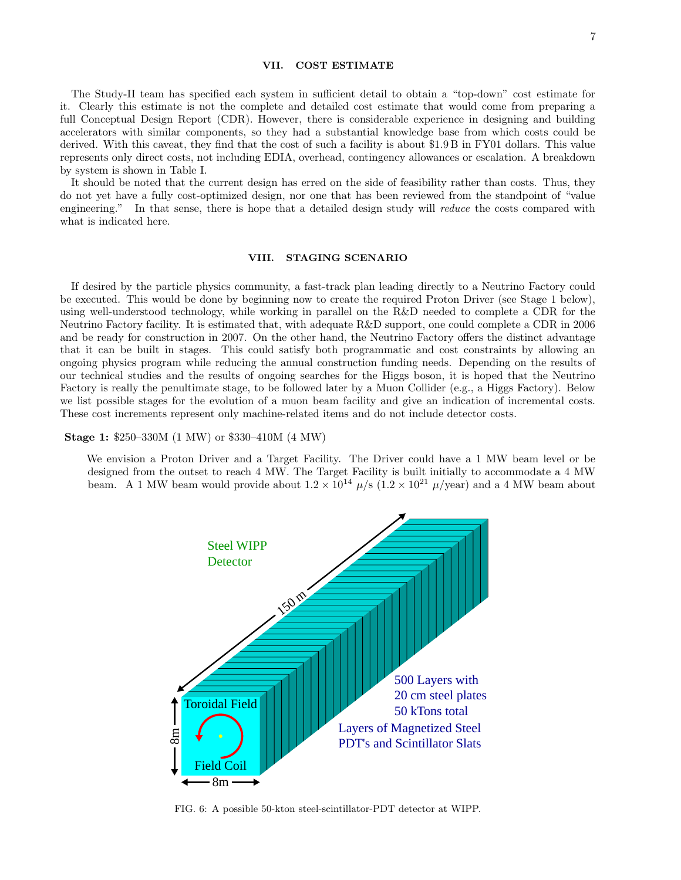### VII. COST ESTIMATE

The Study-II team has specified each system in sufficient detail to obtain a "top-down" cost estimate for it. Clearly this estimate is not the complete and detailed cost estimate that would come from preparing a full Conceptual Design Report (CDR). However, there is considerable experience in designing and building accelerators with similar components, so they had a substantial knowledge base from which costs could be derived. With this caveat, they find that the cost of such a facility is about \$1.9 B in FY01 dollars. This value represents only direct costs, not including EDIA, overhead, contingency allowances or escalation. A breakdown by system is shown in Table I.

It should be noted that the current design has erred on the side of feasibility rather than costs. Thus, they do not yet have a fully cost-optimized design, nor one that has been reviewed from the standpoint of "value engineering." In that sense, there is hope that a detailed design study will reduce the costs compared with what is indicated here.

## VIII. STAGING SCENARIO

If desired by the particle physics community, a fast-track plan leading directly to a Neutrino Factory could be executed. This would be done by beginning now to create the required Proton Driver (see Stage 1 below), using well-understood technology, while working in parallel on the R&D needed to complete a CDR for the Neutrino Factory facility. It is estimated that, with adequate R&D support, one could complete a CDR in 2006 and be ready for construction in 2007. On the other hand, the Neutrino Factory offers the distinct advantage that it can be built in stages. This could satisfy both programmatic and cost constraints by allowing an ongoing physics program while reducing the annual construction funding needs. Depending on the results of our technical studies and the results of ongoing searches for the Higgs boson, it is hoped that the Neutrino Factory is really the penultimate stage, to be followed later by a Muon Collider (e.g., a Higgs Factory). Below we list possible stages for the evolution of a muon beam facility and give an indication of incremental costs. These cost increments represent only machine-related items and do not include detector costs.

Stage 1: \$250–330M (1 MW) or \$330–410M (4 MW)

We envision a Proton Driver and a Target Facility. The Driver could have a 1 MW beam level or be designed from the outset to reach 4 MW. The Target Facility is built initially to accommodate a 4 MW beam. A 1 MW beam would provide about  $1.2 \times 10^{14}$   $\mu$ /s  $(1.2 \times 10^{21}$   $\mu$ /year) and a 4 MW beam about

![](_page_6_Figure_7.jpeg)

FIG. 6: A possible 50-kton steel-scintillator-PDT detector at WIPP.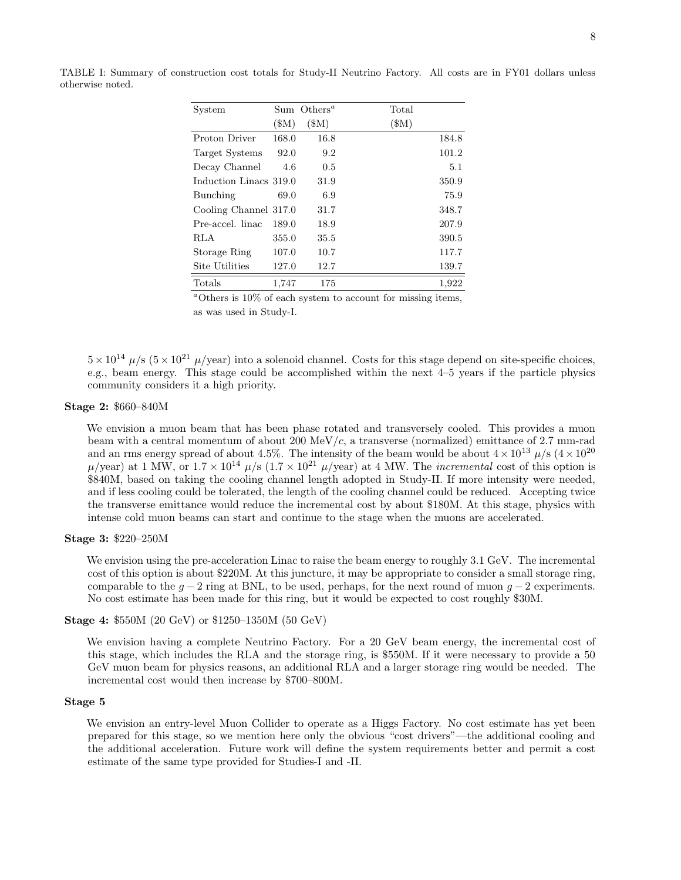| System                 |       | Sum Others <sup><math>a</math></sup> | Total |
|------------------------|-------|--------------------------------------|-------|
|                        | (SM)  | $\mathcal{S}(\mathbb{M})$            | (\$M) |
| Proton Driver          | 168.0 | 16.8                                 | 184.8 |
| Target Systems         | 92.0  | 9.2                                  | 101.2 |
| Decay Channel          | 4.6   | 0.5                                  | 5.1   |
| Induction Linacs 319.0 |       | 31.9                                 | 350.9 |
| Bunching               | 69.0  | 6.9                                  | 75.9  |
| Cooling Channel 317.0  |       | 31.7                                 | 348.7 |
| Pre-accel. linac       | 189.0 | 18.9                                 | 207.9 |
| RLA                    | 355.0 | 35.5                                 | 390.5 |
| Storage Ring           | 107.0 | 10.7                                 | 117.7 |
| Site Utilities         | 127.0 | 12.7                                 | 139.7 |
| Totals                 | 1,747 | 175                                  | 1,922 |

TABLE I: Summary of construction cost totals for Study-II Neutrino Factory. All costs are in FY01 dollars unless otherwise noted.

 $^{\alpha}$ Others is 10% of each system to account for missing items, as was used in Study-I.

 $5 \times 10^{14}$   $\mu$ /s  $(5 \times 10^{21}$   $\mu$ /year) into a solenoid channel. Costs for this stage depend on site-specific choices, e.g., beam energy. This stage could be accomplished within the next 4–5 years if the particle physics community considers it a high priority.

# Stage 2: \$660–840M

We envision a muon beam that has been phase rotated and transversely cooled. This provides a muon beam with a central momentum of about 200 MeV/c, a transverse (normalized) emittance of 2.7 mm-rad and an rms energy spread of about 4.5%. The intensity of the beam would be about  $4 \times 10^{13} \mu/s$  ( $4 \times 10^{20}$ )  $\mu$ /year) at 1 MW, or  $1.7 \times 10^{14}$   $\mu$ /s  $(1.7 \times 10^{21}$   $\mu$ /year) at 4 MW. The *incremental* cost of this option is \$840M, based on taking the cooling channel length adopted in Study-II. If more intensity were needed, and if less cooling could be tolerated, the length of the cooling channel could be reduced. Accepting twice the transverse emittance would reduce the incremental cost by about \$180M. At this stage, physics with intense cold muon beams can start and continue to the stage when the muons are accelerated.

# Stage 3: \$220–250M

We envision using the pre-acceleration Linac to raise the beam energy to roughly 3.1 GeV. The incremental cost of this option is about \$220M. At this juncture, it may be appropriate to consider a small storage ring, comparable to the  $g - 2$  ring at BNL, to be used, perhaps, for the next round of muon  $g - 2$  experiments. No cost estimate has been made for this ring, but it would be expected to cost roughly \$30M.

# Stage 4: \$550M (20 GeV) or \$1250–1350M (50 GeV)

We envision having a complete Neutrino Factory. For a 20 GeV beam energy, the incremental cost of this stage, which includes the RLA and the storage ring, is \$550M. If it were necessary to provide a 50 GeV muon beam for physics reasons, an additional RLA and a larger storage ring would be needed. The incremental cost would then increase by \$700–800M.

## Stage 5

We envision an entry-level Muon Collider to operate as a Higgs Factory. No cost estimate has yet been prepared for this stage, so we mention here only the obvious "cost drivers"—the additional cooling and the additional acceleration. Future work will define the system requirements better and permit a cost estimate of the same type provided for Studies-I and -II.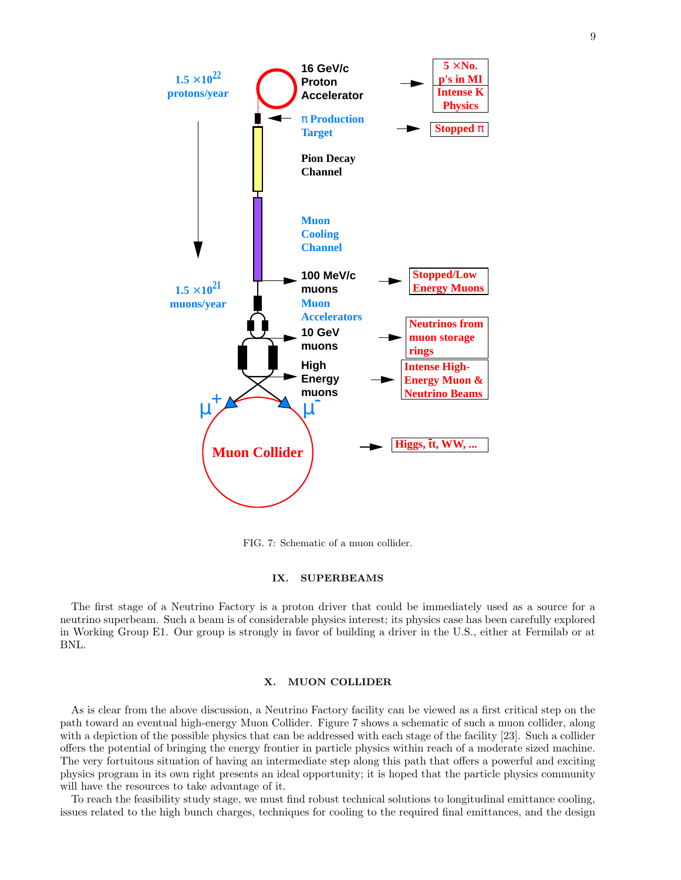![](_page_8_Figure_0.jpeg)

FIG. 7: Schematic of a muon collider.

## IX. SUPERBEAMS

The first stage of a Neutrino Factory is a proton driver that could be immediately used as a source for a neutrino superbeam. Such a beam is of considerable physics interest; its physics case has been carefully explored in Working Group E1. Our group is strongly in favor of building a driver in the U.S., either at Fermilab or at BNL.

# X. MUON COLLIDER

As is clear from the above discussion, a Neutrino Factory facility can be viewed as a first critical step on the path toward an eventual high-energy Muon Collider. Figure 7 shows a schematic of such a muon collider, along with a depiction of the possible physics that can be addressed with each stage of the facility [23]. Such a collider offers the potential of bringing the energy frontier in particle physics within reach of a moderate sized machine. The very fortuitous situation of having an intermediate step along this path that offers a powerful and exciting physics program in its own right presents an ideal opportunity; it is hoped that the particle physics community will have the resources to take advantage of it.

To reach the feasibility study stage, we must find robust technical solutions to longitudinal emittance cooling, issues related to the high bunch charges, techniques for cooling to the required final emittances, and the design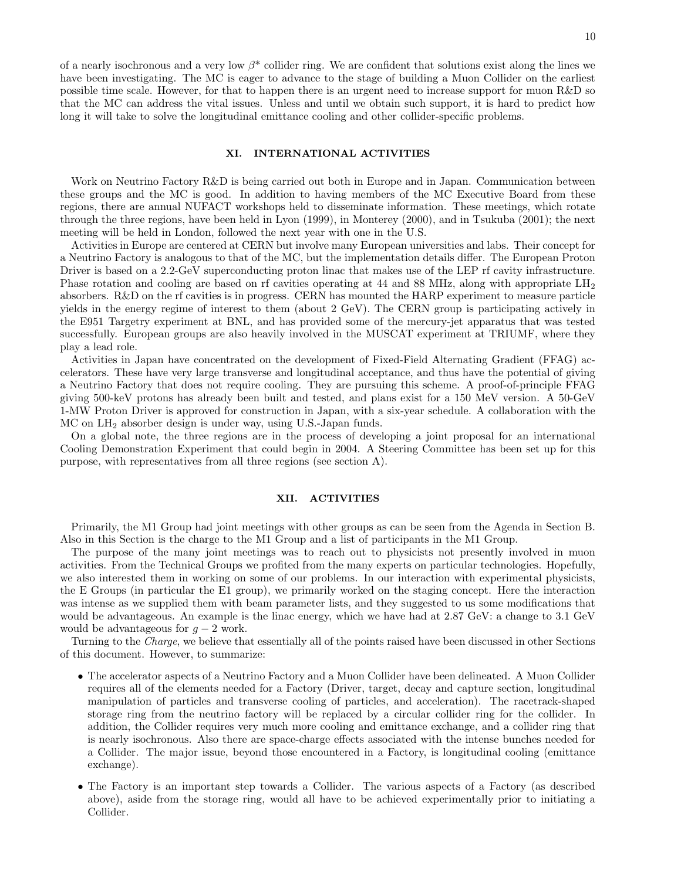of a nearly isochronous and a very low  $\beta^*$  collider ring. We are confident that solutions exist along the lines we have been investigating. The MC is eager to advance to the stage of building a Muon Collider on the earliest possible time scale. However, for that to happen there is an urgent need to increase support for muon R&D so that the MC can address the vital issues. Unless and until we obtain such support, it is hard to predict how long it will take to solve the longitudinal emittance cooling and other collider-specific problems.

## XI. INTERNATIONAL ACTIVITIES

Work on Neutrino Factory R&D is being carried out both in Europe and in Japan. Communication between these groups and the MC is good. In addition to having members of the MC Executive Board from these regions, there are annual NUFACT workshops held to disseminate information. These meetings, which rotate through the three regions, have been held in Lyon (1999), in Monterey (2000), and in Tsukuba (2001); the next meeting will be held in London, followed the next year with one in the U.S.

Activities in Europe are centered at CERN but involve many European universities and labs. Their concept for a Neutrino Factory is analogous to that of the MC, but the implementation details differ. The European Proton Driver is based on a 2.2-GeV superconducting proton linac that makes use of the LEP rf cavity infrastructure. Phase rotation and cooling are based on rf cavities operating at 44 and 88 MHz, along with appropriate LH<sub>2</sub> absorbers. R&D on the rf cavities is in progress. CERN has mounted the HARP experiment to measure particle yields in the energy regime of interest to them (about 2 GeV). The CERN group is participating actively in the E951 Targetry experiment at BNL, and has provided some of the mercury-jet apparatus that was tested successfully. European groups are also heavily involved in the MUSCAT experiment at TRIUMF, where they play a lead role.

Activities in Japan have concentrated on the development of Fixed-Field Alternating Gradient (FFAG) accelerators. These have very large transverse and longitudinal acceptance, and thus have the potential of giving a Neutrino Factory that does not require cooling. They are pursuing this scheme. A proof-of-principle FFAG giving 500-keV protons has already been built and tested, and plans exist for a 150 MeV version. A 50-GeV 1-MW Proton Driver is approved for construction in Japan, with a six-year schedule. A collaboration with the MC on LH<sup>2</sup> absorber design is under way, using U.S.-Japan funds.

On a global note, the three regions are in the process of developing a joint proposal for an international Cooling Demonstration Experiment that could begin in 2004. A Steering Committee has been set up for this purpose, with representatives from all three regions (see section A).

#### XII. ACTIVITIES

Primarily, the M1 Group had joint meetings with other groups as can be seen from the Agenda in Section B. Also in this Section is the charge to the M1 Group and a list of participants in the M1 Group.

The purpose of the many joint meetings was to reach out to physicists not presently involved in muon activities. From the Technical Groups we profited from the many experts on particular technologies. Hopefully, we also interested them in working on some of our problems. In our interaction with experimental physicists, the E Groups (in particular the E1 group), we primarily worked on the staging concept. Here the interaction was intense as we supplied them with beam parameter lists, and they suggested to us some modifications that would be advantageous. An example is the linac energy, which we have had at 2.87 GeV: a change to 3.1 GeV would be advantageous for  $g - 2$  work.

Turning to the *Charge*, we believe that essentially all of the points raised have been discussed in other Sections of this document. However, to summarize:

- The accelerator aspects of a Neutrino Factory and a Muon Collider have been delineated. A Muon Collider requires all of the elements needed for a Factory (Driver, target, decay and capture section, longitudinal manipulation of particles and transverse cooling of particles, and acceleration). The racetrack-shaped storage ring from the neutrino factory will be replaced by a circular collider ring for the collider. In addition, the Collider requires very much more cooling and emittance exchange, and a collider ring that is nearly isochronous. Also there are space-charge effects associated with the intense bunches needed for a Collider. The major issue, beyond those encountered in a Factory, is longitudinal cooling (emittance exchange).
- The Factory is an important step towards a Collider. The various aspects of a Factory (as described above), aside from the storage ring, would all have to be achieved experimentally prior to initiating a Collider.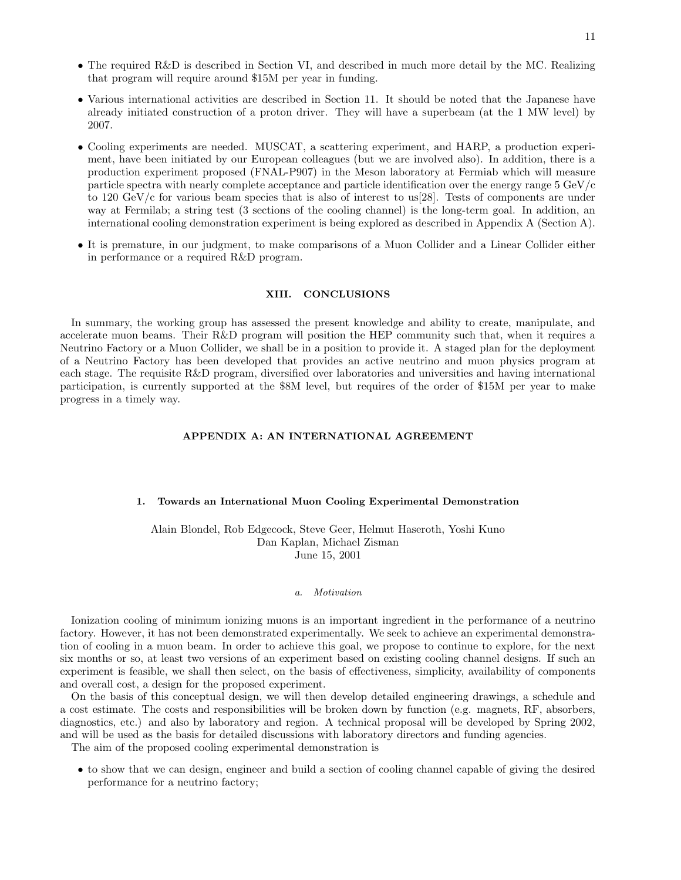11

- The required R&D is described in Section VI, and described in much more detail by the MC. Realizing that program will require around \$15M per year in funding.
- Various international activities are described in Section 11. It should be noted that the Japanese have already initiated construction of a proton driver. They will have a superbeam (at the 1 MW level) by 2007.
- Cooling experiments are needed. MUSCAT, a scattering experiment, and HARP, a production experiment, have been initiated by our European colleagues (but we are involved also). In addition, there is a production experiment proposed (FNAL-P907) in the Meson laboratory at Fermiab which will measure particle spectra with nearly complete acceptance and particle identification over the energy range 5 GeV/c to 120 GeV/c for various beam species that is also of interest to us[28]. Tests of components are under way at Fermilab; a string test (3 sections of the cooling channel) is the long-term goal. In addition, an international cooling demonstration experiment is being explored as described in Appendix A (Section A).
- It is premature, in our judgment, to make comparisons of a Muon Collider and a Linear Collider either in performance or a required R&D program.

## XIII. CONCLUSIONS

In summary, the working group has assessed the present knowledge and ability to create, manipulate, and accelerate muon beams. Their R&D program will position the HEP community such that, when it requires a Neutrino Factory or a Muon Collider, we shall be in a position to provide it. A staged plan for the deployment of a Neutrino Factory has been developed that provides an active neutrino and muon physics program at each stage. The requisite R&D program, diversified over laboratories and universities and having international participation, is currently supported at the \$8M level, but requires of the order of \$15M per year to make progress in a timely way.

# APPENDIX A: AN INTERNATIONAL AGREEMENT

## 1. Towards an International Muon Cooling Experimental Demonstration

Alain Blondel, Rob Edgecock, Steve Geer, Helmut Haseroth, Yoshi Kuno Dan Kaplan, Michael Zisman June 15, 2001

## a. Motivation

Ionization cooling of minimum ionizing muons is an important ingredient in the performance of a neutrino factory. However, it has not been demonstrated experimentally. We seek to achieve an experimental demonstration of cooling in a muon beam. In order to achieve this goal, we propose to continue to explore, for the next six months or so, at least two versions of an experiment based on existing cooling channel designs. If such an experiment is feasible, we shall then select, on the basis of effectiveness, simplicity, availability of components and overall cost, a design for the proposed experiment.

On the basis of this conceptual design, we will then develop detailed engineering drawings, a schedule and a cost estimate. The costs and responsibilities will be broken down by function (e.g. magnets, RF, absorbers, diagnostics, etc.) and also by laboratory and region. A technical proposal will be developed by Spring 2002, and will be used as the basis for detailed discussions with laboratory directors and funding agencies.

The aim of the proposed cooling experimental demonstration is

• to show that we can design, engineer and build a section of cooling channel capable of giving the desired performance for a neutrino factory;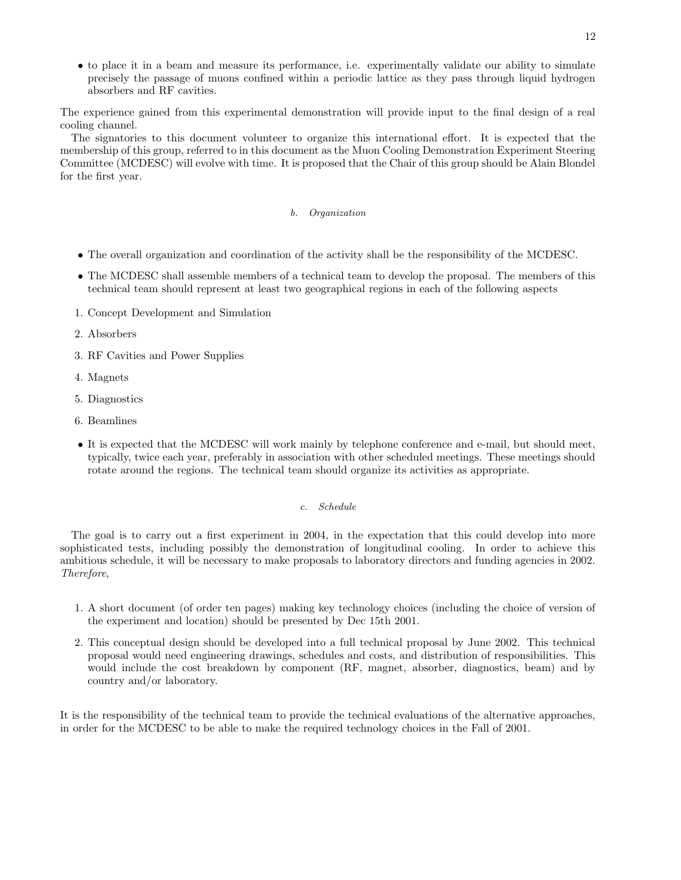• to place it in a beam and measure its performance, i.e. experimentally validate our ability to simulate precisely the passage of muons confined within a periodic lattice as they pass through liquid hydrogen absorbers and RF cavities.

The experience gained from this experimental demonstration will provide input to the final design of a real cooling channel.

The signatories to this document volunteer to organize this international effort. It is expected that the membership of this group, referred to in this document as the Muon Cooling Demonstration Experiment Steering Committee (MCDESC) will evolve with time. It is proposed that the Chair of this group should be Alain Blondel for the first year.

## b. Organization

- The overall organization and coordination of the activity shall be the responsibility of the MCDESC.
- The MCDESC shall assemble members of a technical team to develop the proposal. The members of this technical team should represent at least two geographical regions in each of the following aspects
- 1. Concept Development and Simulation
- 2. Absorbers
- 3. RF Cavities and Power Supplies
- 4. Magnets
- 5. Diagnostics
- 6. Beamlines
- It is expected that the MCDESC will work mainly by telephone conference and e-mail, but should meet, typically, twice each year, preferably in association with other scheduled meetings. These meetings should rotate around the regions. The technical team should organize its activities as appropriate.

#### c. Schedule

The goal is to carry out a first experiment in 2004, in the expectation that this could develop into more sophisticated tests, including possibly the demonstration of longitudinal cooling. In order to achieve this ambitious schedule, it will be necessary to make proposals to laboratory directors and funding agencies in 2002. Therefore,

- 1. A short document (of order ten pages) making key technology choices (including the choice of version of the experiment and location) should be presented by Dec 15th 2001.
- 2. This conceptual design should be developed into a full technical proposal by June 2002. This technical proposal would need engineering drawings, schedules and costs, and distribution of responsibilities. This would include the cost breakdown by component (RF, magnet, absorber, diagnostics, beam) and by country and/or laboratory.

It is the responsibility of the technical team to provide the technical evaluations of the alternative approaches, in order for the MCDESC to be able to make the required technology choices in the Fall of 2001.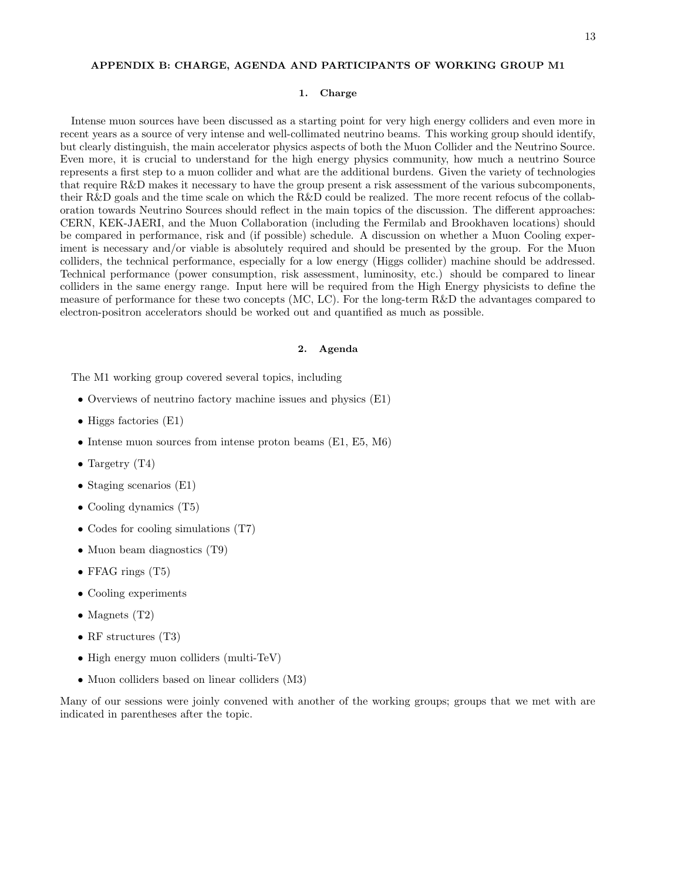## APPENDIX B: CHARGE, AGENDA AND PARTICIPANTS OF WORKING GROUP M1

#### 1. Charge

Intense muon sources have been discussed as a starting point for very high energy colliders and even more in recent years as a source of very intense and well-collimated neutrino beams. This working group should identify, but clearly distinguish, the main accelerator physics aspects of both the Muon Collider and the Neutrino Source. Even more, it is crucial to understand for the high energy physics community, how much a neutrino Source represents a first step to a muon collider and what are the additional burdens. Given the variety of technologies that require R&D makes it necessary to have the group present a risk assessment of the various subcomponents, their R&D goals and the time scale on which the R&D could be realized. The more recent refocus of the collaboration towards Neutrino Sources should reflect in the main topics of the discussion. The different approaches: CERN, KEK-JAERI, and the Muon Collaboration (including the Fermilab and Brookhaven locations) should be compared in performance, risk and (if possible) schedule. A discussion on whether a Muon Cooling experiment is necessary and/or viable is absolutely required and should be presented by the group. For the Muon colliders, the technical performance, especially for a low energy (Higgs collider) machine should be addressed. Technical performance (power consumption, risk assessment, luminosity, etc.) should be compared to linear colliders in the same energy range. Input here will be required from the High Energy physicists to define the measure of performance for these two concepts (MC, LC). For the long-term R&D the advantages compared to electron-positron accelerators should be worked out and quantified as much as possible.

### 2. Agenda

The M1 working group covered several topics, including

- Overviews of neutrino factory machine issues and physics (E1)
- Higgs factories (E1)
- Intense muon sources from intense proton beams (E1, E5, M6)
- Targetry  $(T4)$
- Staging scenarios (E1)
- Cooling dynamics (T5)
- Codes for cooling simulations (T7)
- Muon beam diagnostics (T9)
- FFAG rings (T5)
- Cooling experiments
- Magnets (T2)
- RF structures (T3)
- High energy muon colliders (multi-TeV)
- Muon colliders based on linear colliders (M3)

Many of our sessions were joinly convened with another of the working groups; groups that we met with are indicated in parentheses after the topic.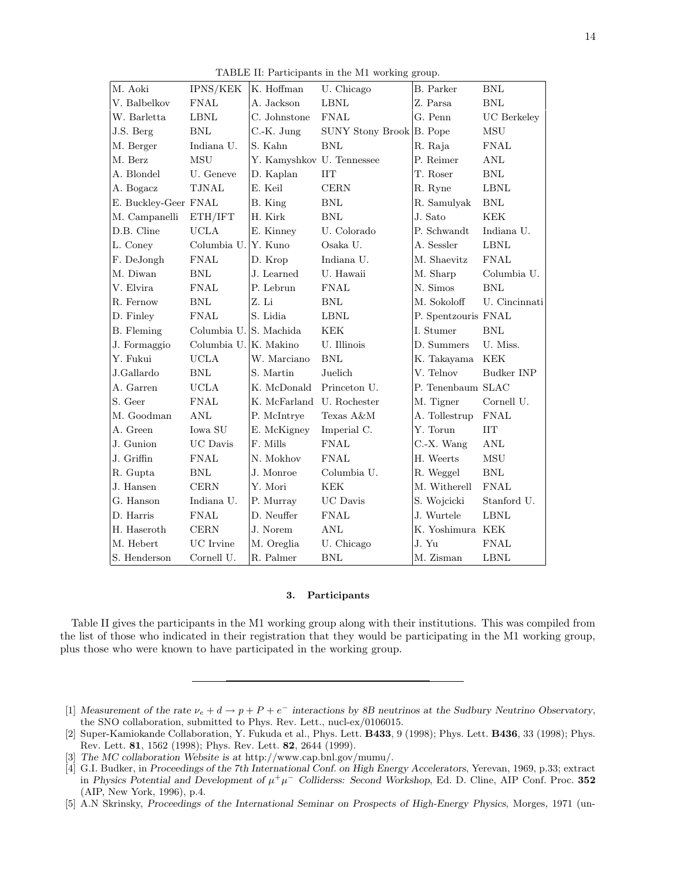TABLE II: Participants in the M1 working group.

| M. Aoki              | IPNS/KEK               | K. Hoffman                | U. Chicago               | B. Parker           | <b>BNL</b>         |
|----------------------|------------------------|---------------------------|--------------------------|---------------------|--------------------|
| V. Balbelkov         | <b>FNAL</b>            | A. Jackson                | <b>LBNL</b>              | Z. Parsa            | <b>BNL</b>         |
| W. Barletta          | <b>LBNL</b>            | C. Johnstone              | <b>FNAL</b>              | G. Penn             | <b>UC</b> Berkeley |
| J.S. Berg            | $\operatorname{BNL}$   | C.-K. Jung                | SUNY Stony Brook B. Pope |                     | ${\rm MSU}$        |
| M. Berger            | Indiana U.             | S. Kahn                   | <b>BNL</b>               | R. Raja             | <b>FNAL</b>        |
| M. Berz              | MSU                    | Y. Kamyshkov U. Tennessee |                          | P. Reimer           | ANL                |
| A. Blondel           | U. Geneve              | D. Kaplan                 | $\prod$                  | T. Roser            | <b>BNL</b>         |
| A. Bogacz            | <b>TJNAL</b>           | E. Keil                   | <b>CERN</b>              | R. Ryne             | ${\rm LBNL}$       |
| E. Buckley-Geer FNAL |                        | B. King                   | <b>BNL</b>               | R. Samulyak         | BNL                |
| M. Campanelli        | ETH/IFT                | H. Kirk                   | <b>BNL</b>               | J. Sato             | <b>KEK</b>         |
| D.B. Cline           | <b>UCLA</b>            | E. Kinney                 | U. Colorado              | P. Schwandt         | Indiana U.         |
| L. Coney             | Columbia U.            | Y. Kuno                   | Osaka U.                 | A. Sessler          | <b>LBNL</b>        |
| F. DeJongh           | <b>FNAL</b>            | D. Krop                   | Indiana U.               | M. Shaevitz         | <b>FNAL</b>        |
| M. Diwan             | <b>BNL</b>             | J. Learned                | U. Hawaii                | M. Sharp            | Columbia U.        |
| V. Elvira            | <b>FNAL</b>            | P. Lebrun                 | <b>FNAL</b>              | N. Simos            | <b>BNL</b>         |
| R. Fernow            | <b>BNL</b>             | Z. Li                     | <b>BNL</b>               | M. Sokoloff         | U. Cincinnati      |
| D. Finley            | <b>FNAL</b>            | S. Lidia                  | <b>LBNL</b>              | P. Spentzouris FNAL |                    |
| B. Fleming           | Columbia U. S. Machida |                           | <b>KEK</b>               | I. Stumer           | BNL                |
| J. Formaggio         | Columbia U. K. Makino  |                           | U. Illinois              | D. Summers          | U. Miss.           |
| Y. Fukui             | <b>UCLA</b>            | W. Marciano               | <b>BNL</b>               | K. Takayama         | <b>KEK</b>         |
| J.Gallardo           | <b>BNL</b>             | S. Martin                 | Juelich                  | V. Telnov           | Budker INP         |
| A. Garren            | <b>UCLA</b>            | K. McDonald               | Princeton U.             | P. Tenenbaum SLAC   |                    |
| S. Geer              | <b>FNAL</b>            | K. McFarland U. Rochester |                          | M. Tigner           | Cornell U.         |
| M. Goodman           | <b>ANL</b>             | P. McIntrye               | Texas A&M                | A. Tollestrup       | <b>FNAL</b>        |
| A. Green             | Iowa SU                | E. McKigney               | Imperial C.              | Y. Torun            | <b>IIT</b>         |
| J. Gunion            | $\rm UC$ Davis         | F. Mills                  | <b>FNAL</b>              | C.-X. Wang          | ANL                |
| J. Griffin           | <b>FNAL</b>            | N. Mokhov                 | <b>FNAL</b>              | H. Weerts           | MSU                |
| R. Gupta             | <b>BNL</b>             | J. Monroe                 | Columbia U.              | R. Weggel           | <b>BNL</b>         |
| J. Hansen            | <b>CERN</b>            | Y. Mori                   | <b>KEK</b>               | M. Witherell        | <b>FNAL</b>        |
| G. Hanson            | Indiana U.             | P. Murray                 | UC Davis                 | S. Wojcicki         | Stanford U.        |
| D. Harris            | <b>FNAL</b>            | D. Neuffer                | <b>FNAL</b>              | J. Wurtele          | <b>LBNL</b>        |
| H. Haseroth          | <b>CERN</b>            | J. Norem                  | <b>ANL</b>               | K. Yoshimura KEK    |                    |
| M. Hebert            | UC Irvine              | M. Oreglia                | U. Chicago               | J. Yu               | <b>FNAL</b>        |
| S. Henderson         | Cornell U.             | R. Palmer                 | $\operatorname{BNL}$     | M. Zisman           | <b>LBNL</b>        |

#### 3. Participants

Table II gives the participants in the M1 working group along with their institutions. This was compiled from the list of those who indicated in their registration that they would be participating in the M1 working group, plus those who were known to have participated in the working group.

- [1] Measurement of the rate  $\nu_e + d \rightarrow p + P + e^-$  interactions by 8B neutrinos at the Sudbury Neutrino Observatory, the SNO collaboration, submitted to Phys. Rev. Lett., nucl-ex/0106015.
- [2] Super-Kamiokande Collaboration, Y. Fukuda et al., Phys. Lett. B433, 9 (1998); Phys. Lett. B436, 33 (1998); Phys. Rev. Lett. 81, 1562 (1998); Phys. Rev. Lett. 82, 2644 (1999).

<sup>[3]</sup> The MC collaboration Website is at http://www.cap.bnl.gov/mumu/.

<sup>[4]</sup> G.I. Budker, in Proceedings of the 7th International Conf. on High Energy Accelerators, Yerevan, 1969, p.33; extract in Physics Potential and Development of  $\mu^+\mu^-$  Colliderss: Second Workshop, Ed. D. Cline, AIP Conf. Proc. 352 (AIP, New York, 1996), p.4.

<sup>[5]</sup> A.N Skrinsky, Proceedings of the International Seminar on Prospects of High-Energy Physics, Morges, 1971 (un-